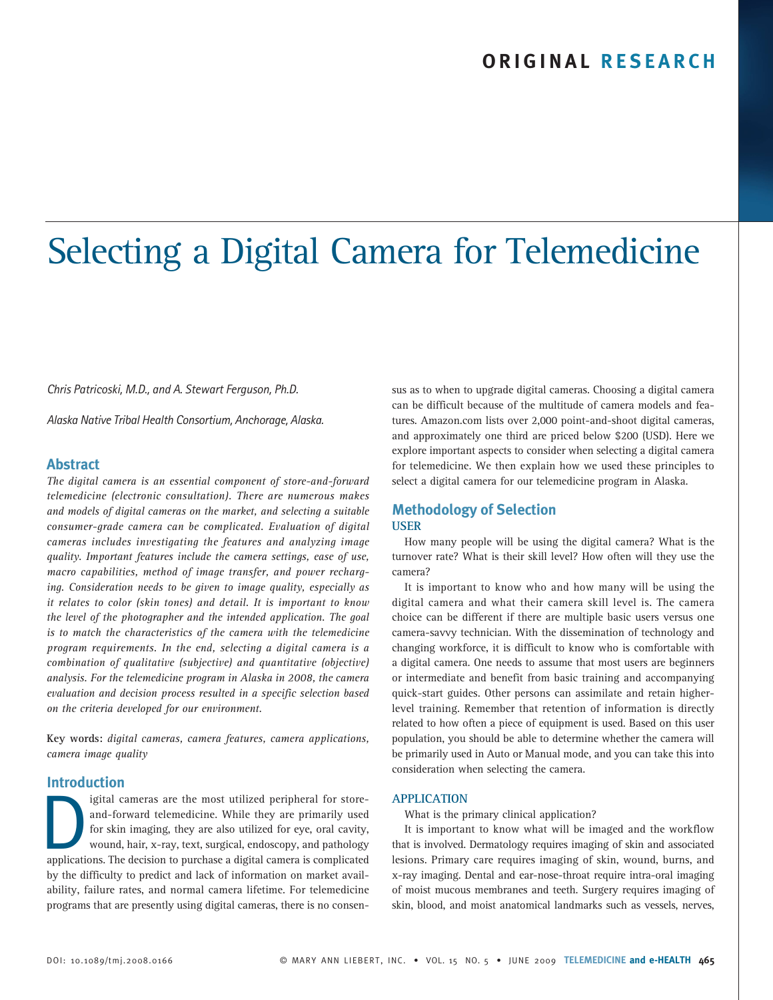# Selecting a Digital Camera for Telemedicine

*Chris Patricoski, M.D., and A. Stewart Ferguson, Ph.D.*

*Alaska Native Tribal Health Consortium, Anchorage, Alaska.*

# **Abstract**

*The digital camera is an essential component of store-and-forward telemedicine (electronic consultation). There are numerous makes and models of digital cameras on the market, and selecting a suitable consumer-grade camera can be complicated. Evaluation of digital cameras includes investigating the features and analyzing image quality. Important features include the camera settings, ease of use, macro capabilities, method of image transfer, and power recharging. Consideration needs to be given to image quality, especially as it relates to color (skin tones) and detail. It is important to know the level of the photographer and the intended application. The goal is to match the characteristics of the camera with the telemedicine program requirements. In the end, selecting a digital camera is a combination of qualitative (subjective) and quantitative (objective) analysis. For the telemedicine program in Alaska in 2008, the camera evaluation and decision process resulted in a specific selection based on the criteria developed for our environment.*

**Key words:** *digital cameras, camera features, camera applications, camera image quality* 

# **Introduction**

igital cameras are the most utilized peripheral for storeand-forward telemedicine. While they are primarily used for skin imaging, they are also utilized for eye, oral cavity, wound, hair, x-ray, text, surgical, endoscopy, and pathology applications. The decision to purchase a digital camera is complicated for skin imaging, they are also utilized for eye, oral cavity, wound, hair, x-ray, text, surgical, endoscopy, and pathology applications. The decision by the difficulty to predict and lack of information on market availability, failure rates, and normal camera lifetime. For telemedicine programs that are presently using digital cameras, there is no consensus as to when to upgrade digital cameras. Choosing a digital camera can be difficult because of the multitude of camera models and features. Amazon.com lists over 2,000 point-and-shoot digital cameras, and approximately one third are priced below \$200 (USD). Here we explore important aspects to consider when selecting a digital camera for telemedicine. We then explain how we used these principles to select a digital camera for our telemedicine program in Alaska.

# **Methodology of Selection USER**

How many people will be using the digital camera? What is the turnover rate? What is their skill level? How often will they use the camera?

It is important to know who and how many will be using the digital camera and what their camera skill level is. The camera choice can be different if there are multiple basic users versus one camera-savvy technician. With the dissemination of technology and changing workforce, it is difficult to know who is comfortable with a digital camera. One needs to assume that most users are beginners or intermediate and benefit from basic training and accompanying quick-start guides. Other persons can assimilate and retain higherlevel training. Remember that retention of information is directly related to how often a piece of equipment is used. Based on this user population, you should be able to determine whether the camera will be primarily used in Auto or Manual mode, and you can take this into consideration when selecting the camera.

# **APPLICATION**

What is the primary clinical application?

It is important to know what will be imaged and the workflow that is involved. Dermatology requires imaging of skin and associated lesions. Primary care requires imaging of skin, wound, burns, and x-ray imaging. Dental and ear-nose-throat require intra-oral imaging of moist mucous membranes and teeth. Surgery requires imaging of skin, blood, and moist anatomical landmarks such as vessels, nerves,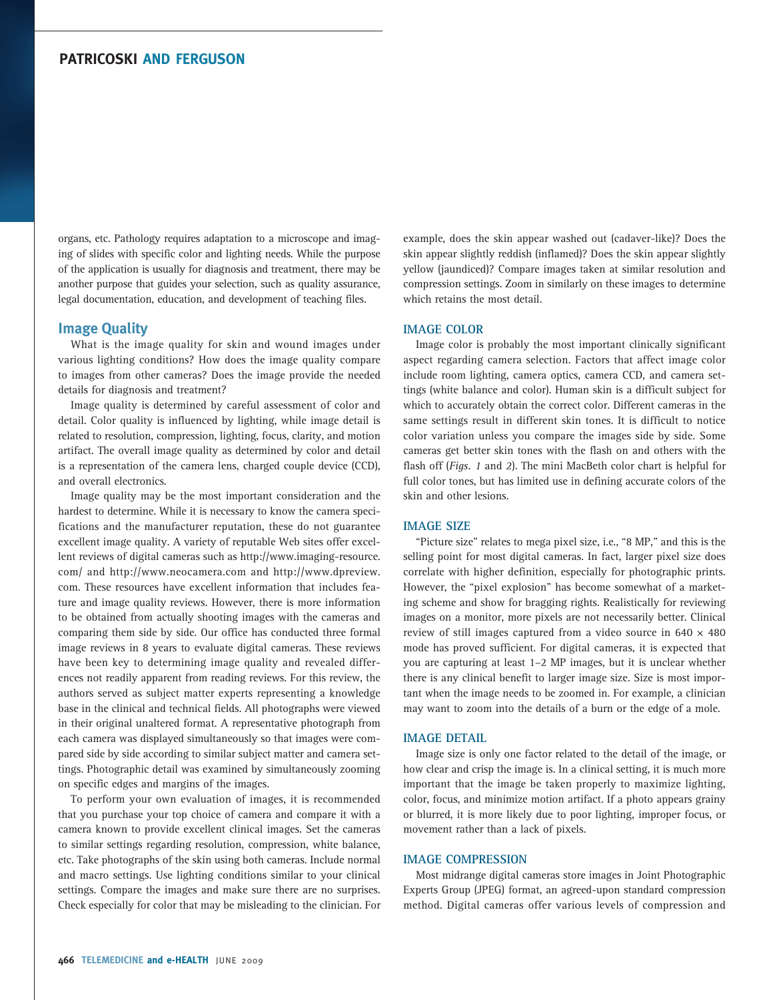organs, etc. Pathology requires adaptation to a microscope and imaging of slides with specific color and lighting needs. While the purpose of the application is usually for diagnosis and treatment, there may be another purpose that guides your selection, such as quality assurance, legal documentation, education, and development of teaching files.

#### **Image Quality**

What is the image quality for skin and wound images under various lighting conditions? How does the image quality compare to images from other cameras? Does the image provide the needed details for diagnosis and treatment?

Image quality is determined by careful assessment of color and detail. Color quality is influenced by lighting, while image detail is related to resolution, compression, lighting, focus, clarity, and motion artifact. The overall image quality as determined by color and detail is a representation of the camera lens, charged couple device (CCD), and overall electronics.

Image quality may be the most important consideration and the hardest to determine. While it is necessary to know the camera specifications and the manufacturer reputation, these do not guarantee excellent image quality. A variety of reputable Web sites offer excellent reviews of digital cameras such as http://www.imaging-resource. com/ and http://www.neocamera.com and http://www.dpreview. com. These resources have excellent information that includes feature and image quality reviews. However, there is more information to be obtained from actually shooting images with the cameras and comparing them side by side. Our office has conducted three formal image reviews in 8 years to evaluate digital cameras. These reviews have been key to determining image quality and revealed differences not readily apparent from reading reviews. For this review, the authors served as subject matter experts representing a knowledge base in the clinical and technical fields. All photographs were viewed in their original unaltered format. A representative photograph from each camera was displayed simultaneously so that images were compared side by side according to similar subject matter and camera settings. Photographic detail was examined by simultaneously zooming on specific edges and margins of the images.

To perform your own evaluation of images, it is recommended that you purchase your top choice of camera and compare it with a camera known to provide excellent clinical images. Set the cameras to similar settings regarding resolution, compression, white balance, etc. Take photographs of the skin using both cameras. Include normal and macro settings. Use lighting conditions similar to your clinical settings. Compare the images and make sure there are no surprises. Check especially for color that may be misleading to the clinician. For

example, does the skin appear washed out (cadaver-like)? Does the skin appear slightly reddish (inflamed)? Does the skin appear slightly yellow (jaundiced)? Compare images taken at similar resolution and compression settings. Zoom in similarly on these images to determine which retains the most detail.

#### **IMAGE COLOR**

Image color is probably the most important clinically significant aspect regarding camera selection. Factors that affect image color include room lighting, camera optics, camera CCD, and camera settings (white balance and color). Human skin is a difficult subject for which to accurately obtain the correct color. Different cameras in the same settings result in different skin tones. It is difficult to notice color variation unless you compare the images side by side. Some cameras get better skin tones with the flash on and others with the flash off (*Figs. 1* and *2*). The mini MacBeth color chart is helpful for full color tones, but has limited use in defining accurate colors of the skin and other lesions.

#### **IMAGE SIZE**

"Picture size" relates to mega pixel size, i.e., "8 MP," and this is the selling point for most digital cameras. In fact, larger pixel size does correlate with higher definition, especially for photographic prints. However, the "pixel explosion" has become somewhat of a marketing scheme and show for bragging rights. Realistically for reviewing images on a monitor, more pixels are not necessarily better. Clinical review of still images captured from a video source in  $640 \times 480$ mode has proved sufficient. For digital cameras, it is expected that you are capturing at least 1–2 MP images, but it is unclear whether there is any clinical benefit to larger image size. Size is most important when the image needs to be zoomed in. For example, a clinician may want to zoom into the details of a burn or the edge of a mole.

#### **IMAGE DETAIL**

Image size is only one factor related to the detail of the image, or how clear and crisp the image is. In a clinical setting, it is much more important that the image be taken properly to maximize lighting, color, focus, and minimize motion artifact. If a photo appears grainy or blurred, it is more likely due to poor lighting, improper focus, or movement rather than a lack of pixels.

#### **IMAGE COMPRESSION**

Most midrange digital cameras store images in Joint Photographic Experts Group (JPEG) format, an agreed-upon standard compression method. Digital cameras offer various levels of compression and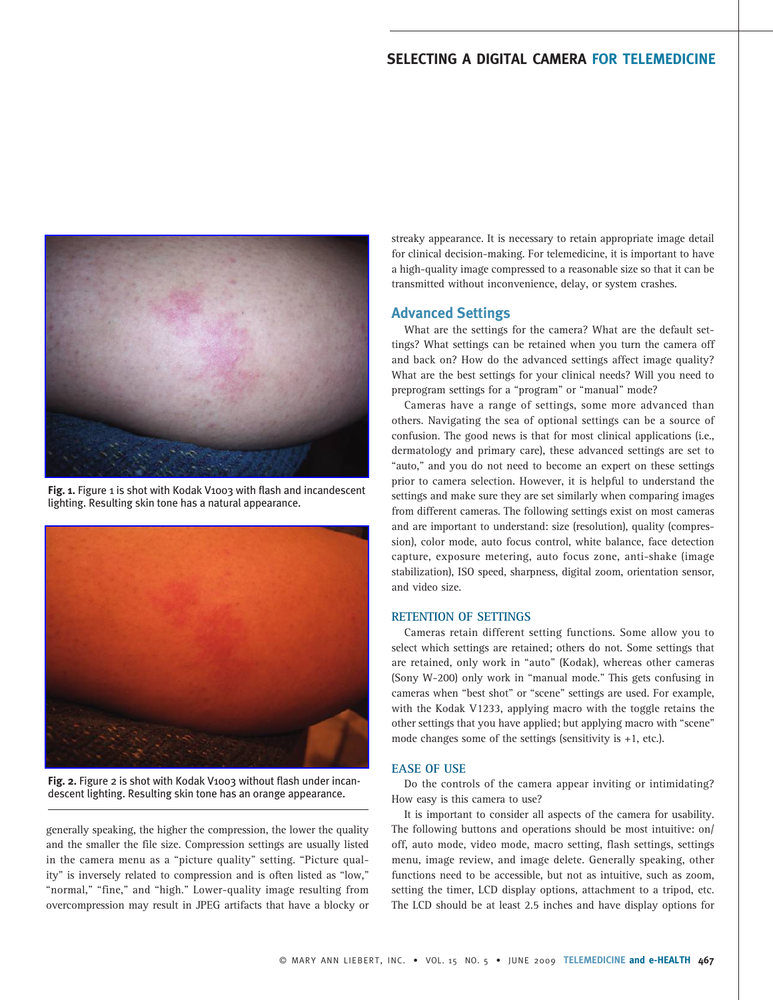# **SELECTING A DIGITAL CAMERA FOR TELEMEDICINE**



Fig. 1. Figure 1 is shot with Kodak V1003 with flash and incandescent [lighting. Resulting skin tone has a natural appearance.](http://www.liebertonline.com/action/showImage?doi=10.1089/tmj.2008.0166&iName=master.img-002.jpg&w=256&h=192)



**Fig. 2.** Figure 2 is shot with Kodak V1003 without flash under incandescent lighting. Resulting skin tone has an orange appearance.

generally speaking, the higher the compression, the lower the quality and the smaller the file size. Compression settings are usually listed in the camera menu as a "picture quality" setting. "Picture quality" is inversely related to compression and is often listed as "low," "normal," "fine," and "high." Lower-quality image resulting from overcompression may result in JPEG artifacts that have a blocky or

streaky appearance. It is necessary to retain appropriate image detail for clinical decision-making. For telemedicine, it is important to have a high-quality image compressed to a reasonable size so that it can be transmitted without inconvenience, delay, or system crashes.

# **Advanced Settings**

What are the settings for the camera? What are the default settings? What settings can be retained when you turn the camera off and back on? How do the advanced settings affect image quality? What are the best settings for your clinical needs? Will you need to preprogram settings for a "program" or "manual" mode?

Cameras have a range of settings, some more advanced than others. Navigating the sea of optional settings can be a source of confusion. The good news is that for most clinical applications (i.e., dermatology and primary care), these advanced settings are set to "auto," and you do not need to become an expert on these settings prior to camera selection. However, it is helpful to understand the settings and make sure they are set similarly when comparing images from different cameras. The following settings exist on most cameras and are important to understand: size (resolution), quality (compression), color mode, auto focus control, white balance, face detection capture, exposure metering, auto focus zone, anti-shake (image stabilization), ISO speed, sharpness, digital zoom, orientation sensor, and video size.

#### **RETENTION OF SETTINGS**

Cameras retain different setting functions. Some allow you to select which settings are retained; others do not. Some settings that are retained, only work in "auto" (Kodak), whereas other cameras (Sony W-200) only work in "manual mode." This gets confusing in cameras when "best shot" or "scene" settings are used. For example, with the Kodak V1233, applying macro with the toggle retains the other settings that you have applied; but applying macro with "scene" mode changes some of the settings (sensitivity is +1, etc.).

#### **EASE OF USE**

Do the controls of the camera appear inviting or intimidating? How easy is this camera to use?

It is important to consider all aspects of the camera for usability. The following buttons and operations should be most intuitive: on/ off, auto mode, video mode, macro setting, flash settings, settings menu, image review, and image delete. Generally speaking, other functions need to be accessible, but not as intuitive, such as zoom, setting the timer, LCD display options, attachment to a tripod, etc. The LCD should be at least 2.5 inches and have display options for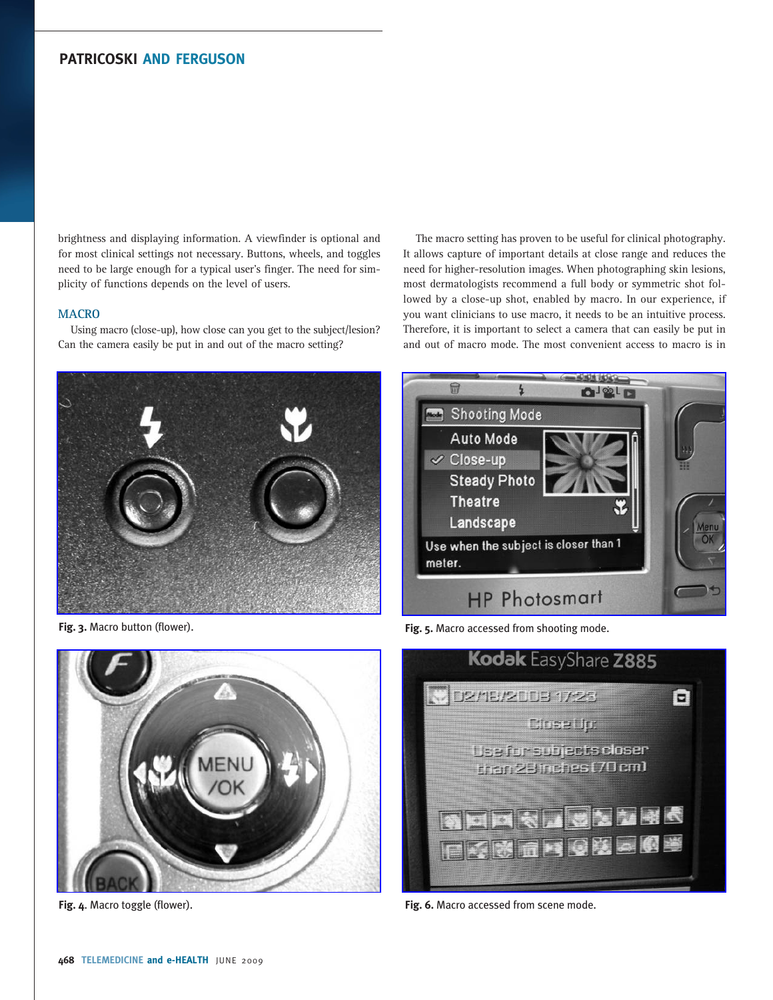brightness and displaying information. A viewfinder is optional and for most clinical settings not necessary. Buttons, wheels, and toggles need to be large enough for a typical user's finger. The need for simplicity of functions depends on the level of users.

#### **MACRO**

Using macro (close-up), how close can you get to the subject/lesion? [Can the camera easily be put in and out of the macro setting](http://www.liebertonline.com/action/showImage?doi=10.1089/tmj.2008.0166&iName=master.img-006.jpg&w=255&h=192)?



**Fig. 3.** [Macro button \(flower\).](http://www.liebertonline.com/action/showImage?doi=10.1089/tmj.2008.0166&iName=master.img-005.jpg&w=255&h=192)



**Fig. 4**. Macro toggle (flower).

The macro setting has proven to be useful for clinical photography. It allows capture of important details at close range and reduces the need for higher-resolution images. When photographing skin lesions, most dermatologists recommend a full body or symmetric shot followed by a close-up shot, enabled by macro. In our experience, if you want clinicians to use macro, it needs to be an intuitive process. Therefore, it is important to select a camera that can easily be put in [and out of macro mode. The most convenient access to m](http://www.liebertonline.com/action/showImage?doi=10.1089/tmj.2008.0166&iName=master.img-008.jpg&w=256&h=192)acro is in



**Fig. 5.** [Macro accessed from shooting mode.](http://www.liebertonline.com/action/showImage?doi=10.1089/tmj.2008.0166&iName=master.img-007.jpg&w=256&h=192)



**Fig. 6.** Macro accessed from scene mode.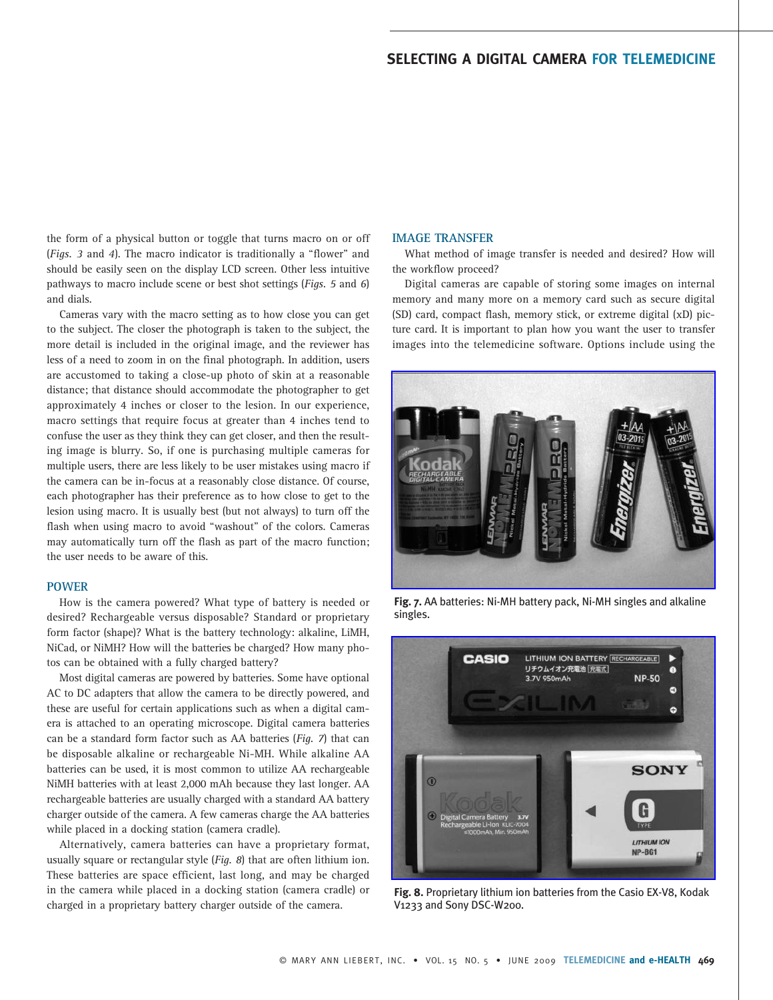the form of a physical button or toggle that turns macro on or off (*Figs. 3* and *4*). The macro indicator is traditionally a "flower" and should be easily seen on the display LCD screen. Other less intuitive pathways to macro include scene or best shot settings (*Figs. 5* and *6*) and dials.

Cameras vary with the macro setting as to how close you can get to the subject. The closer the photograph is taken to the subject, the more detail is included in the original image, and the reviewer has less of a need to zoom in on the final photograph. In addition, users are accustomed to taking a close-up photo of skin at a reasonable distance; that distance should accommodate the photographer to get approximately 4 inches or closer to the lesion. In our experience, macro settings that require focus at greater than 4 inches tend to confuse the user as they think they can get closer, and then the resulting image is blurry. So, if one is purchasing multiple cameras for multiple users, there are less likely to be user mistakes using macro if the camera can be in-focus at a reasonably close distance. Of course, each photographer has their preference as to how close to get to the lesion using macro. It is usually best (but not always) to turn off the flash when using macro to avoid "washout" of the colors. Cameras may automatically turn off the flash as part of the macro function; the user needs to be aware of this.

#### **POWER**

How is the camera powered? What type of battery is needed or desired? Rechargeable versus disposable? Standard or proprietary form factor (shape)? What is the battery technology: alkaline, LiMH, NiCad, or NiMH? How will the batteries be charged? How many photos can be obtained with a fully charged battery?

Most digital cameras are powered by batteries. Some have optional AC to DC adapters that allow the camera to be directly powered, and these are useful for certain applications such as when a digital camera is attached to an operating microscope. Digital camera batteries can be a standard form factor such as AA batteries (*Fig. 7*) that can be disposable alkaline or rechargeable Ni-MH. While alkaline AA batteries can be used, it is most common to utilize AA rechargeable NiMH batteries with at least 2,000 mAh because they last longer. AA rechargeable batteries are usually charged with a standard AA battery charger outside of the camera. A few cameras charge the AA batteries while placed in a docking station (camera cradle).

Alternatively, camera batteries can have a proprietary format, usually square or rectangular style (*Fig. 8*) that are often lithium ion. These batteries are space efficient, last long, and may be charged in the camera while placed in a docking station (camera cradle) or charged in a proprietary battery charger outside of the camera.

## **IMAGE TRANSFER**

What method of image transfer is needed and desired? How will the workflow proceed?

Digital cameras are capable of storing some images on internal memory and many more on a memory card such as secure digital (SD) card, compact flash, memory stick, or extreme digital (xD) picture card. It is important to plan how you want the user to transfer [images into the telemedicine software. Options include](http://www.liebertonline.com/action/showImage?doi=10.1089/tmj.2008.0166&iName=master.img-009.jpg&w=255&h=172) using the



**Fig. 7.** [AA batteries: Ni-MH battery pack, Ni-MH singles and](http://www.liebertonline.com/action/showImage?doi=10.1089/tmj.2008.0166&iName=master.img-010.jpg&w=255&h=192) alkaline singles.



**Fig. 8.** Proprietary lithium ion batteries from the Casio EX-V8, Kodak V1233 and Sony DSC-W200.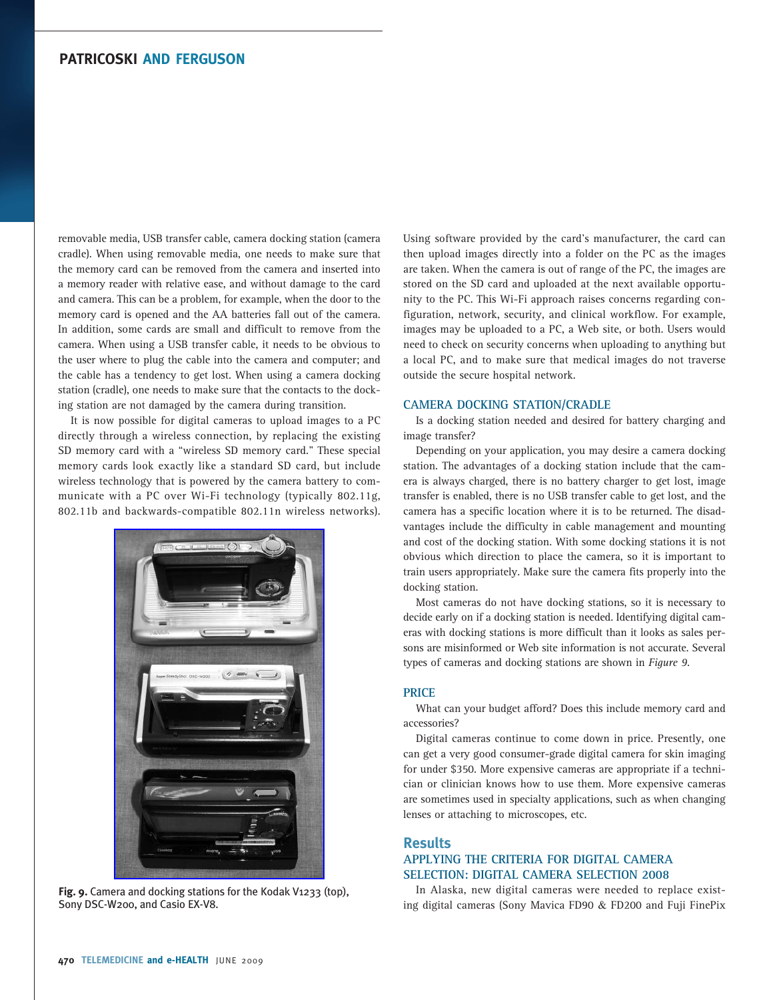removable media, USB transfer cable, camera docking station (camera cradle). When using removable media, one needs to make sure that the memory card can be removed from the camera and inserted into a memory reader with relative ease, and without damage to the card and camera. This can be a problem, for example, when the door to the memory card is opened and the AA batteries fall out of the camera. In addition, some cards are small and difficult to remove from the camera. When using a USB transfer cable, it needs to be obvious to the user where to plug the cable into the camera and computer; and the cable has a tendency to get lost. When using a camera docking station (cradle), one needs to make sure that the contacts to the docking station are not damaged by the camera during transition.

It is now possible for digital cameras to upload images to a PC directly through a wireless connection, by replacing the existing SD memory card with a "wireless SD memory card." These special memory cards look exactly like a standard SD card, but include wireless technology that is powered by the camera battery to comm[unicate with a PC over Wi-Fi technology](http://www.liebertonline.com/action/showImage?doi=10.1089/tmj.2008.0166&iName=master.img-012.jpg&w=166&h=277) (typically 802.11g, 802.11b and backwards-compatible 802.11n wireless networks).



**Fig. 9.** Camera and docking stations for the Kodak V1233 (top), Sony DSC-W200, and Casio EX-V8.

Using software provided by the card's manufacturer, the card can then upload images directly into a folder on the PC as the images are taken. When the camera is out of range of the PC, the images are stored on the SD card and uploaded at the next available opportunity to the PC. This Wi-Fi approach raises concerns regarding configuration, network, security, and clinical workflow. For example, images may be uploaded to a PC, a Web site, or both. Users would need to check on security concerns when uploading to anything but a local PC, and to make sure that medical images do not traverse outside the secure hospital network.

#### **CAMERA DOCKING STATION/CRADLE**

Is a docking station needed and desired for battery charging and image transfer?

Depending on your application, you may desire a camera docking station. The advantages of a docking station include that the camera is always charged, there is no battery charger to get lost, image transfer is enabled, there is no USB transfer cable to get lost, and the camera has a specific location where it is to be returned. The disadvantages include the difficulty in cable management and mounting and cost of the docking station. With some docking stations it is not obvious which direction to place the camera, so it is important to train users appropriately. Make sure the camera fits properly into the docking station.

Most cameras do not have docking stations, so it is necessary to decide early on if a docking station is needed. Identifying digital cameras with docking stations is more difficult than it looks as sales persons are misinformed or Web site information is not accurate. Several types of cameras and docking stations are shown in *Figure 9*.

#### **PRICE**

What can your budget afford? Does this include memory card and accessories?

Digital cameras continue to come down in price. Presently, one can get a very good consumer-grade digital camera for skin imaging for under \$350. More expensive cameras are appropriate if a technician or clinician knows how to use them. More expensive cameras are sometimes used in specialty applications, such as when changing lenses or attaching to microscopes, etc.

#### **Results**

# **APPLYING THE CRITERIA FOR DIGITAL CAMERA SELECTION: DIGITAL CAMERA SELECTION 2008**

In Alaska, new digital cameras were needed to replace existing digital cameras (Sony Mavica FD90 & FD200 and Fuji FinePix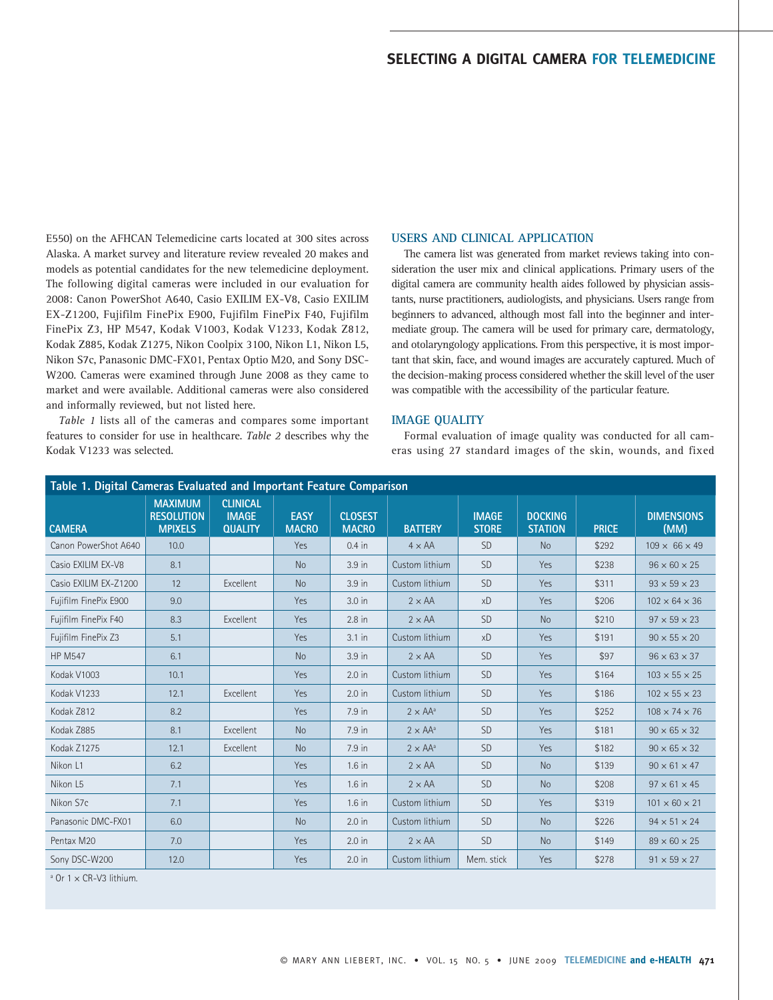E550) on the AFHCAN Telemedicine carts located at 300 sites across Alaska. A market survey and literature review revealed 20 makes and models as potential candidates for the new telemedicine deployment. The following digital cameras were included in our evaluation for 2008: Canon PowerShot A640, Casio EXILIM EX-V8, Casio EXILIM EX-Z1200, Fujifilm FinePix E900, Fujifilm FinePix F40, Fujifilm FinePix Z3, HP M547, Kodak V1003, Kodak V1233, Kodak Z812, Kodak Z885, Kodak Z1275, Nikon Coolpix 3100, Nikon L1, Nikon L5, Nikon S7c, Panasonic DMC-FX01, Pentax Optio M20, and Sony DSC-W200. Cameras were examined through June 2008 as they came to market and were available. Additional cameras were also considered and informally reviewed, but not listed here.

*Table 1* lists all of the cameras and compares some important features to consider for use in healthcare. *Table 2* describes why the Kodak V1233 was selected.

#### **USERS AND CLINICAL APPLICATION**

The camera list was generated from market reviews taking into consideration the user mix and clinical applications. Primary users of the digital camera are community health aides followed by physician assistants, nurse practitioners, audiologists, and physicians. Users range from beginners to advanced, although most fall into the beginner and intermediate group. The camera will be used for primary care, dermatology, and otolaryngology applications. From this perspective, it is most important that skin, face, and wound images are accurately captured. Much of the decision-making process considered whether the skill level of the user was compatible with the accessibility of the particular feature.

#### **IMAGE QUALITY**

Formal evaluation of image quality was conducted for all cameras using 27 standard images of the skin, wounds, and fixed

| Table 1. Digital Cameras Evaluated and Important Feature Comparison |                                                       |                                                   |                             |                                |                 |                              |                                  |              |                           |  |  |
|---------------------------------------------------------------------|-------------------------------------------------------|---------------------------------------------------|-----------------------------|--------------------------------|-----------------|------------------------------|----------------------------------|--------------|---------------------------|--|--|
| <b>CAMERA</b>                                                       | <b>MAXIMUM</b><br><b>RESOLUTION</b><br><b>MPIXELS</b> | <b>CLINICAL</b><br><b>IMAGE</b><br><b>QUALITY</b> | <b>EASY</b><br><b>MACRO</b> | <b>CLOSEST</b><br><b>MACRO</b> | <b>BATTERY</b>  | <b>IMAGE</b><br><b>STORE</b> | <b>DOCKING</b><br><b>STATION</b> | <b>PRICE</b> | <b>DIMENSIONS</b><br>(MM) |  |  |
| Canon PowerShot A640                                                | 10.0                                                  |                                                   | Yes                         | $0.4$ in                       | $4 \times AA$   | <b>SD</b>                    | <b>No</b>                        | \$292        | $109 \times 66 \times 49$ |  |  |
| Casio EXILIM EX-V8                                                  | 8.1                                                   |                                                   | <b>No</b>                   | 3.9 <sub>in</sub>              | Custom lithium  | <b>SD</b>                    | Yes                              | \$238        | $96 \times 60 \times 25$  |  |  |
| Casio EXILIM EX-Z1200                                               | 12                                                    | Excellent                                         | <b>No</b>                   | 3.9 <sub>in</sub>              | Custom lithium  | <b>SD</b>                    | Yes                              | \$311        | $93 \times 59 \times 23$  |  |  |
| Fujifilm FinePix E900                                               | 9.0                                                   |                                                   | Yes                         | 3.0 <sub>in</sub>              | $2 \times AA$   | <b>xD</b>                    | Yes                              | \$206        | $102 \times 64 \times 36$ |  |  |
| Fujifilm FinePix F40                                                | 8.3                                                   | Excellent                                         | <b>Yes</b>                  | $2.8$ in                       | $2 \times AA$   | <b>SD</b>                    | <b>No</b>                        | \$210        | $97 \times 59 \times 23$  |  |  |
| Fujifilm FinePix Z3                                                 | 5.1                                                   |                                                   | Yes                         | $3.1$ in                       | Custom lithium  | <b>xD</b>                    | Yes                              | \$191        | $90 \times 55 \times 20$  |  |  |
| <b>HP M547</b>                                                      | 6.1                                                   |                                                   | <b>No</b>                   | 3.9 <sub>in</sub>              | $2 \times AA$   | <b>SD</b>                    | Yes                              | \$97         | $96 \times 63 \times 37$  |  |  |
| Kodak V1003                                                         | 10.1                                                  |                                                   | Yes                         | 2.0 <sub>in</sub>              | Custom lithium  | <b>SD</b>                    | Yes                              | \$164        | $103 \times 55 \times 25$ |  |  |
| Kodak V1233                                                         | 12.1                                                  | Excellent                                         | <b>Yes</b>                  | $2.0$ in                       | Custom lithium  | <b>SD</b>                    | Yes                              | \$186        | $102 \times 55 \times 23$ |  |  |
| Kodak Z812                                                          | 8.2                                                   |                                                   | Yes                         | 7.9 in                         | $2 \times AA^a$ | SD                           | Yes                              | \$252        | $108 \times 74 \times 76$ |  |  |
| Kodak Z885                                                          | 8.1                                                   | Excellent                                         | <b>No</b>                   | 7.9 in                         | $2 \times AA^a$ | <b>SD</b>                    | <b>Yes</b>                       | \$181        | $90 \times 65 \times 32$  |  |  |
| Kodak Z1275                                                         | 12.1                                                  | Excellent                                         | <b>No</b>                   | 7.9 in                         | $2 \times AA^a$ | SD                           | Yes                              | \$182        | $90 \times 65 \times 32$  |  |  |
| Nikon L1                                                            | 6.2                                                   |                                                   | <b>Yes</b>                  | $1.6$ in                       | $2 \times AA$   | <b>SD</b>                    | <b>No</b>                        | \$139        | $90 \times 61 \times 47$  |  |  |
| Nikon L <sub>5</sub>                                                | 7.1                                                   |                                                   | <b>Yes</b>                  | $1.6$ in                       | $2 \times AA$   | SD                           | <b>No</b>                        | \$208        | $97 \times 61 \times 45$  |  |  |
| Nikon S7c                                                           | 7.1                                                   |                                                   | Yes                         | $1.6$ in                       | Custom lithium  | <b>SD</b>                    | <b>Yes</b>                       | \$319        | $101 \times 60 \times 21$ |  |  |
| Panasonic DMC-FX01                                                  | 6.0                                                   |                                                   | <b>No</b>                   | $2.0$ in                       | Custom lithium  | SD                           | <b>No</b>                        | \$226        | $94 \times 51 \times 24$  |  |  |
| Pentax M20                                                          | 7.0                                                   |                                                   | Yes                         | 2.0 <sub>in</sub>              | $2 \times AA$   | SD                           | <b>No</b>                        | \$149        | $89 \times 60 \times 25$  |  |  |
| Sony DSC-W200                                                       | 12.0                                                  |                                                   | Yes                         | 2.0 <sub>in</sub>              | Custom lithium  | Mem. stick                   | Yes                              | \$278        | $91 \times 59 \times 27$  |  |  |

 $\degree$  Or 1  $\times$  CR-V3 lithium.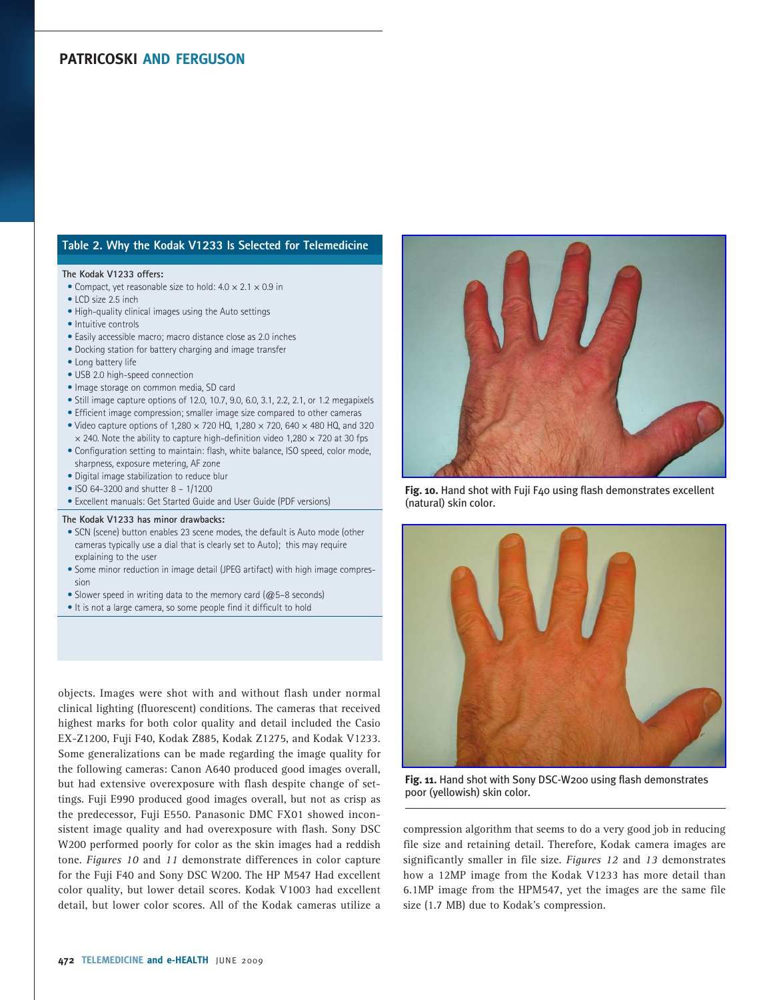#### **Table 2. Why the Kodak V1233 Is Selected for Telemedicine**

#### **The Kodak V1233 offers:**

- Compact, yet reasonable size to hold:  $4.0 \times 2.1 \times 0.9$  in
- LCD size 2.5 inch
- High-quality clinical images using the Auto settings
- Intuitive controls
- Easily accessible macro; macro distance close as 2.0 inches
- Docking station for battery charging and image transfer
- Long battery life
- USB 2.0 high-speed connection
- Image storage on common media, SD card
- Still image capture options of 12.0, 10.7, 9.0, 6.0, 3.1, 2.2, 2.1, or 1.2 megapixels
- Efficient image compression; smaller image size compared to other cameras
- Video capture options of 1,280  $\times$  720 HQ, 1,280  $\times$  720, 640  $\times$  480 HQ, and 320  $\times$  240. Note the ability to capture high-definition video 1,280  $\times$  720 at 30 fps
- Configuration setting to maintain: flash, white balance, ISO speed, color mode, sharpness, exposure metering, AF zone
- Digital image stabilization to reduce blur
- ISO 64-3200 and shutter 8 1/1200
- Excellent manuals: Get Started Guide and User Guide (PDF versions)
- **The Kodak V1233 has minor drawbacks:**
- SCN (scene) button enables 23 scene modes, the default is Auto mode (other cameras typically use a dial that is clearly set to Auto); this may require explaining to the user
- Some minor reduction in image detail (JPEG artifact) with high image compression
- Slower speed in writing data to the memory card  $(Q_0 5-8$  seconds)
- It is not a large camera, so some people find it difficult to hold

objects. Images were shot with and without flash under normal clinical lighting (fluorescent) conditions. The cameras that received highest marks for both color quality and detail included the Casio EX-Z1200, Fuji F40, Kodak Z885, Kodak Z1275, and Kodak V1233. Some generalizations can be made regarding the image quality for the following cameras: Canon A640 produced good images overall, but had extensive overexposure with flash despite change of settings. Fuji E990 produced good images overall, but not as crisp as the predecessor, Fuji E550. Panasonic DMC FX01 showed inconsistent image quality and had overexposure with flash. Sony DSC W200 performed poorly for color as the skin images had a reddish tone. *Figures 10* and *11* demonstrate differences in color capture for the Fuji F40 and Sony DSC W200. The HP M547 Had excellent color quality, but lower detail scores. Kodak V1003 had excellent detail, but lower color scores. All of the Kodak cameras utilize a



**Fig. 10.** [Hand shot with Fuji F40 using flash demonstrates ex](http://www.liebertonline.com/action/showImage?doi=10.1089/tmj.2008.0166&iName=master.img-014.jpg&w=256&h=192)cellent (natural) skin color.



**Fig. 11.** Hand shot with Sony DSC-W200 using flash demonstrates poor (yellowish) skin color.

compression algorithm that seems to do a very good job in reducing file size and retaining detail. Therefore, Kodak camera images are significantly smaller in file size. *Figures 12* and *13* demonstrates how a 12MP image from the Kodak V1233 has more detail than 6.1MP image from the HPM547, yet the images are the same file size (1.7 MB) due to Kodak's compression.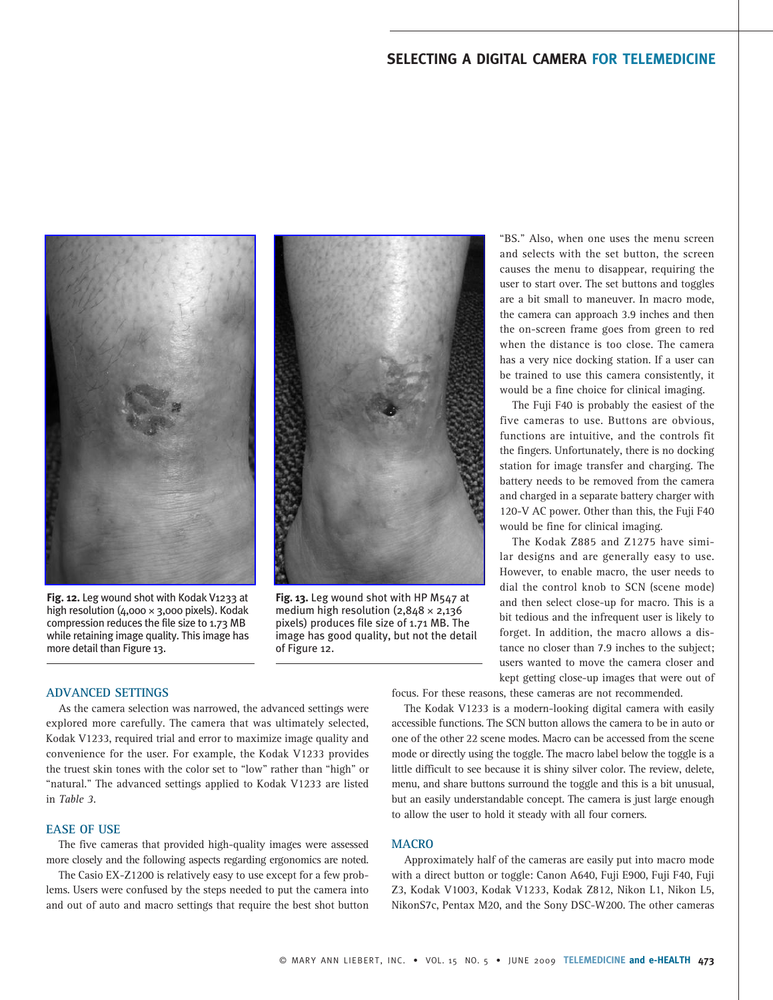# **SELECTING A DIGITAL CAMERA FOR TELEMEDICINE**



Fig. 12. Leg wound shot with Kodak V1233 at high resolution (4,000  $\times$  3,000 pixels). Kodak compression reduces the file size to 1.73 MB while retaining image quality. This image has more detail than Figure 13.



**Fig. 13.** Leg wound shot with HP M547 at medium high resolution  $(2,848 \times 2,136)$ pixels) produces file size of 1.71 MB. The image has good quality, but not the detail of Figure 12.

**ADVANCED SETTINGS**

As the camera selection was narrowed, the advanced settings were explored more carefully. The camera that was ultimately selected, Kodak V1233, required trial and error to maximize image quality and convenience for the user. For example, the Kodak V1233 provides the truest skin tones with the color set to "low" rather than "high" or "natural." The advanced settings applied to Kodak V1233 are listed in *Table 3*.

#### **EASE OF USE**

The five cameras that provided high-quality images were assessed more closely and the following aspects regarding ergonomics are noted.

The Casio EX-Z1200 is relatively easy to use except for a few problems. Users were confused by the steps needed to put the camera into and out of auto and macro settings that require the best shot button

"BS." Also, when one uses the menu screen and selects with the set button, the screen causes the menu to disappear, requiring the user to start over. The set buttons and toggles are a bit small to maneuver. In macro mode, the camera can approach 3.9 inches and then the on-screen frame goes from green to red when the distance is too close. The camera has a very nice docking station. If a user can be trained to use this camera consistently, it would be a fine choice for clinical imaging.

The Fuji F40 is probably the easiest of the five cameras to use. Buttons are obvious, functions are intuitive, and the controls fit the fingers. Unfortunately, there is no docking station for image transfer and charging. The battery needs to be removed from the camera and charged in a separate battery charger with 120-V AC power. Other than this, the Fuji F40 would be fine for clinical imaging.

The Kodak Z885 and Z1275 have similar designs and are generally easy to use. However, to enable macro, the user needs to dial the control knob to SCN (scene mode) and then select close-up for macro. This is a bit tedious and the infrequent user is likely to forget. In addition, the macro allows a distance no closer than 7.9 inches to the subject; users wanted to move the camera closer and kept getting close-up images that were out of

focus. For these reasons, these cameras are not recommended.

The Kodak V1233 is a modern-looking digital camera with easily accessible functions. The SCN button allows the camera to be in auto or one of the other 22 scene modes. Macro can be accessed from the scene mode or directly using the toggle. The macro label below the toggle is a little difficult to see because it is shiny silver color. The review, delete, menu, and share buttons surround the toggle and this is a bit unusual, but an easily understandable concept. The camera is just large enough to allow the user to hold it steady with all four corners.

#### **MACRO**

Approximately half of the cameras are easily put into macro mode with a direct button or toggle: Canon A640, Fuji E900, Fuji F40, Fuji Z3, Kodak V1003, Kodak V1233, Kodak Z812, Nikon L1, Nikon L5, NikonS7c, Pentax M20, and the Sony DSC-W200. The other cameras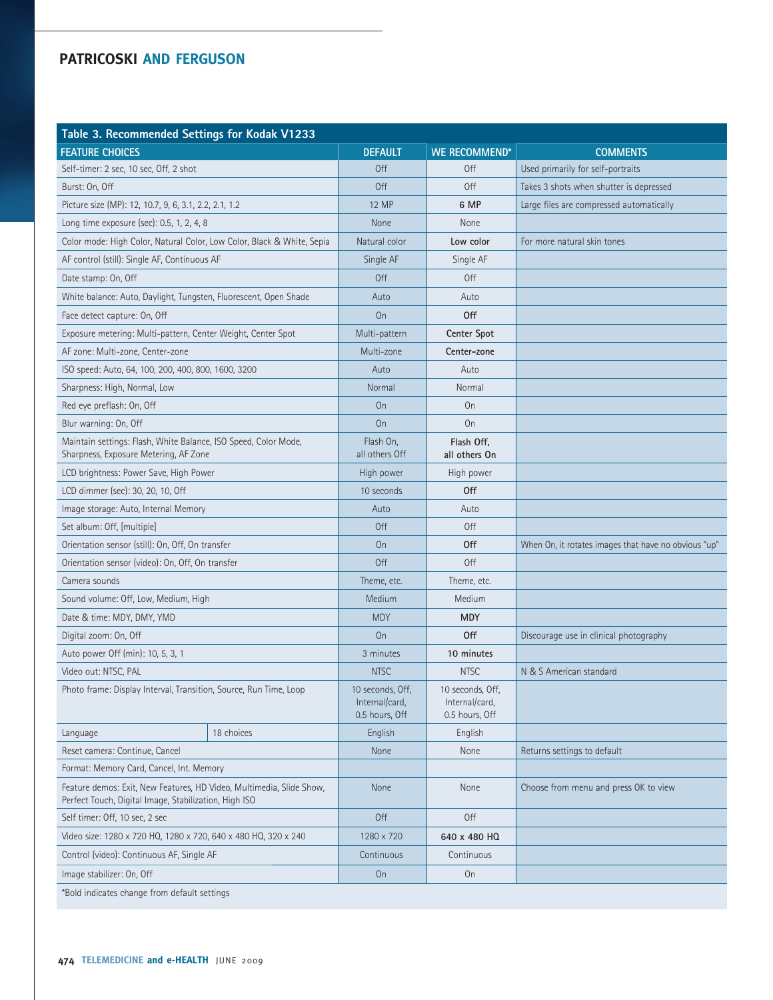| Table 3. Recommended Settings for Kodak V1233                                                                                 |                             |                                                      |                                                      |                                         |  |
|-------------------------------------------------------------------------------------------------------------------------------|-----------------------------|------------------------------------------------------|------------------------------------------------------|-----------------------------------------|--|
| <b>FEATURE CHOICES</b>                                                                                                        | <b>DEFAULT</b>              | <b>WE RECOMMEND*</b>                                 | <b>COMMENTS</b>                                      |                                         |  |
| Self-timer: 2 sec, 10 sec, Off, 2 shot                                                                                        |                             |                                                      |                                                      | Used primarily for self-portraits       |  |
| Burst: On, Off                                                                                                                |                             |                                                      |                                                      | Takes 3 shots when shutter is depressed |  |
| Picture size (MP): 12, 10.7, 9, 6, 3.1, 2.2, 2.1, 1.2                                                                         | <b>12 MP</b>                | 6 MP                                                 | Large files are compressed automatically             |                                         |  |
| Long time exposure (sec): 0.5, 1, 2, 4, 8                                                                                     |                             | None                                                 | None                                                 |                                         |  |
| Color mode: High Color, Natural Color, Low Color, Black & White, Sepia                                                        | Natural color               | Low color                                            | For more natural skin tones                          |                                         |  |
| AF control (still): Single AF, Continuous AF                                                                                  | Single AF                   | Single AF                                            |                                                      |                                         |  |
| Date stamp: On, Off                                                                                                           | 0ff                         | <b>Off</b>                                           |                                                      |                                         |  |
| White balance: Auto, Daylight, Tungsten, Fluorescent, Open Shade                                                              | Auto                        | Auto                                                 |                                                      |                                         |  |
| Face detect capture: On, Off                                                                                                  | On                          | <b>Off</b>                                           |                                                      |                                         |  |
| Exposure metering: Multi-pattern, Center Weight, Center Spot                                                                  | Multi-pattern               | <b>Center Spot</b>                                   |                                                      |                                         |  |
| AF zone: Multi-zone, Center-zone                                                                                              | Multi-zone                  | Center-zone                                          |                                                      |                                         |  |
| ISO speed: Auto, 64, 100, 200, 400, 800, 1600, 3200                                                                           |                             | Auto                                                 | Auto                                                 |                                         |  |
| Sharpness: High, Normal, Low                                                                                                  | Normal                      | Normal                                               |                                                      |                                         |  |
| Red eye preflash: On, Off                                                                                                     | On                          | On                                                   |                                                      |                                         |  |
| Blur warning: On, Off                                                                                                         | On                          | On                                                   |                                                      |                                         |  |
| Maintain settings: Flash, White Balance, ISO Speed, Color Mode,<br>Sharpness, Exposure Metering, AF Zone                      | Flash On,<br>all others Off | Flash Off,<br>all others On                          |                                                      |                                         |  |
| LCD brightness: Power Save, High Power                                                                                        |                             | High power                                           | High power                                           |                                         |  |
| LCD dimmer (sec): 30, 20, 10, Off                                                                                             | 10 seconds                  | 0ff                                                  |                                                      |                                         |  |
| Image storage: Auto, Internal Memory                                                                                          | Auto                        | Auto                                                 |                                                      |                                         |  |
| Set album: Off, [multiple]                                                                                                    | Off                         | Off                                                  |                                                      |                                         |  |
| Orientation sensor (still): On, Off, On transfer                                                                              | 0 <sub>n</sub>              | 0ff                                                  | When On, it rotates images that have no obvious "up" |                                         |  |
| Orientation sensor (video): On, Off, On transfer                                                                              | 0ff                         | 0ff                                                  |                                                      |                                         |  |
| Camera sounds                                                                                                                 | Theme, etc.                 | Theme, etc.                                          |                                                      |                                         |  |
| Sound volume: Off, Low, Medium, High                                                                                          | Medium                      | Medium                                               |                                                      |                                         |  |
| Date & time: MDY, DMY, YMD                                                                                                    | <b>MDY</b>                  | <b>MDY</b>                                           |                                                      |                                         |  |
| Digital zoom: On, Off                                                                                                         | <b>On</b>                   | 0ff                                                  | Discourage use in clinical photography               |                                         |  |
| Auto power Off (min): 10, 5, 3, 1                                                                                             | 3 minutes                   | 10 minutes                                           |                                                      |                                         |  |
| Video out: NTSC, PAL                                                                                                          | <b>NTSC</b>                 | <b>NTSC</b>                                          | N & S American standard                              |                                         |  |
| Photo frame: Display Interval, Transition, Source, Run Time, Loop                                                             |                             | 10 seconds, Off,<br>Internal/card,<br>0.5 hours, Off | 10 seconds, Off,<br>Internal/card,<br>0.5 hours, Off |                                         |  |
| Language                                                                                                                      | 18 choices                  | English                                              | English                                              |                                         |  |
| Reset camera: Continue, Cancel                                                                                                |                             | None                                                 | None                                                 | Returns settings to default             |  |
| Format: Memory Card, Cancel, Int. Memory                                                                                      |                             |                                                      |                                                      |                                         |  |
| Feature demos: Exit, New Features, HD Video, Multimedia, Slide Show,<br>Perfect Touch, Digital Image, Stabilization, High ISO | None                        | None                                                 | Choose from menu and press OK to view                |                                         |  |
| Self timer: Off, 10 sec, 2 sec                                                                                                | 0ff                         | Off                                                  |                                                      |                                         |  |
| Video size: 1280 x 720 HQ, 1280 x 720, 640 x 480 HQ, 320 x 240                                                                | 1280 x 720                  | 640 x 480 HQ                                         |                                                      |                                         |  |
| Control (video): Continuous AF, Single AF                                                                                     | Continuous                  | Continuous                                           |                                                      |                                         |  |
| Image stabilizer: On, Off                                                                                                     | 0 <sub>n</sub>              | On                                                   |                                                      |                                         |  |
| *Bold indicates change from default settings                                                                                  |                             |                                                      |                                                      |                                         |  |